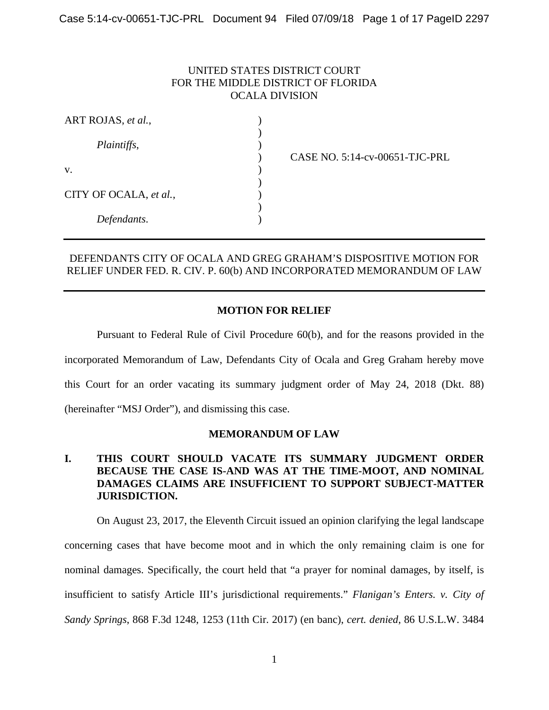# UNITED STATES DISTRICT COURT FOR THE MIDDLE DISTRICT OF FLORIDA OCALA DIVISION

| ART ROJAS, et al.,     |  |
|------------------------|--|
|                        |  |
| Plaintiffs,            |  |
|                        |  |
| V.                     |  |
| CITY OF OCALA, et al., |  |
|                        |  |
|                        |  |
| Defendants.            |  |

) CASE NO. 5:14-cv-00651-TJC-PRL

## DEFENDANTS CITY OF OCALA AND GREG GRAHAM'S DISPOSITIVE MOTION FOR RELIEF UNDER FED. R. CIV. P. 60(b) AND INCORPORATED MEMORANDUM OF LAW

## **MOTION FOR RELIEF**

Pursuant to Federal Rule of Civil Procedure 60(b), and for the reasons provided in the incorporated Memorandum of Law, Defendants City of Ocala and Greg Graham hereby move this Court for an order vacating its summary judgment order of May 24, 2018 (Dkt. 88) (hereinafter "MSJ Order"), and dismissing this case.

### **MEMORANDUM OF LAW**

# **I. THIS COURT SHOULD VACATE ITS SUMMARY JUDGMENT ORDER BECAUSE THE CASE IS-AND WAS AT THE TIME-MOOT, AND NOMINAL DAMAGES CLAIMS ARE INSUFFICIENT TO SUPPORT SUBJECT-MATTER JURISDICTION.**

On August 23, 2017, the Eleventh Circuit issued an opinion clarifying the legal landscape concerning cases that have become moot and in which the only remaining claim is one for nominal damages. Specifically, the court held that "a prayer for nominal damages, by itself, is insufficient to satisfy Article III's jurisdictional requirements." *Flanigan's Enters. v. City of Sandy Springs*, 868 F.3d 1248, 1253 (11th Cir. 2017) (en banc), *cert. denied*, 86 U.S.L.W. 3484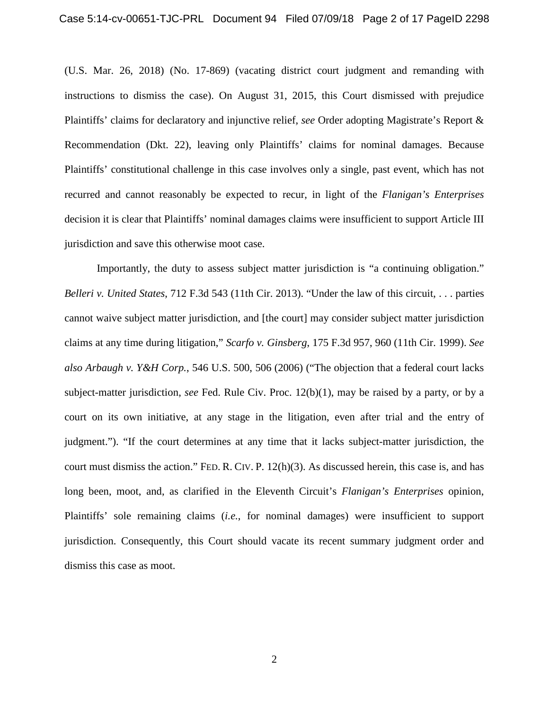(U.S. Mar. 26, 2018) (No. 17-869) (vacating district court judgment and remanding with instructions to dismiss the case). On August 31, 2015, this Court dismissed with prejudice Plaintiffs' claims for declaratory and injunctive relief, *see* Order adopting Magistrate's Report & Recommendation (Dkt. 22), leaving only Plaintiffs' claims for nominal damages. Because Plaintiffs' constitutional challenge in this case involves only a single, past event, which has not recurred and cannot reasonably be expected to recur, in light of the *Flanigan's Enterprises* decision it is clear that Plaintiffs' nominal damages claims were insufficient to support Article III jurisdiction and save this otherwise moot case.

Importantly, the duty to assess subject matter jurisdiction is "a continuing obligation." *Belleri v. United States*, 712 F.3d 543 (11th Cir. 2013). "Under the law of this circuit, . . . parties cannot waive subject matter jurisdiction, and [the court] may consider subject matter jurisdiction claims at any time during litigation," *Scarfo v. Ginsberg*, 175 F.3d 957, 960 (11th Cir. 1999). *See also Arbaugh v. Y&H Corp.*, 546 U.S. 500, 506 (2006) ("The objection that a federal court lacks subject-matter jurisdiction, *see* Fed. Rule Civ. Proc. 12(b)(1), may be raised by a party, or by a court on its own initiative, at any stage in the litigation, even after trial and the entry of judgment."). "If the court determines at any time that it lacks subject-matter jurisdiction, the court must dismiss the action." FED. R. CIV. P. 12(h)(3). As discussed herein, this case is, and has long been, moot, and, as clarified in the Eleventh Circuit's *Flanigan's Enterprises* opinion, Plaintiffs' sole remaining claims (*i.e.*, for nominal damages) were insufficient to support jurisdiction. Consequently, this Court should vacate its recent summary judgment order and dismiss this case as moot.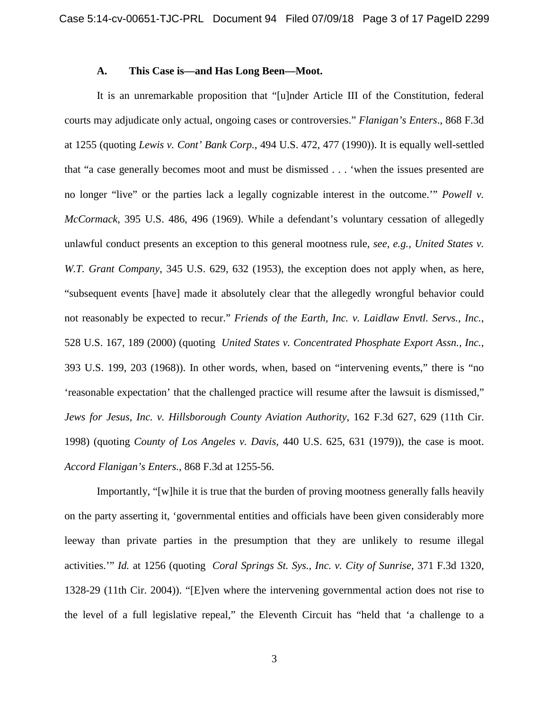#### **A. This Case is—and Has Long Been—Moot.**

It is an unremarkable proposition that "[u]nder Article III of the Constitution, federal courts may adjudicate only actual, ongoing cases or controversies." *Flanigan's Enters*., 868 F.3d at 1255 (quoting *Lewis v. Cont' Bank Corp.*, 494 U.S. 472, 477 (1990)). It is equally well-settled that "a case generally becomes moot and must be dismissed . . . 'when the issues presented are no longer "live" or the parties lack a legally cognizable interest in the outcome.'" *Powell v. McCormack*, 395 U.S. 486, 496 (1969). While a defendant's voluntary cessation of allegedly unlawful conduct presents an exception to this general mootness rule, *see, e.g., United States v. W.T. Grant Company*, 345 U.S. 629, 632 (1953), the exception does not apply when, as here, "subsequent events [have] made it absolutely clear that the allegedly wrongful behavior could not reasonably be expected to recur." *Friends of the Earth, Inc. v. Laidlaw Envtl. Servs., Inc.*, 528 U.S. 167, 189 (2000) (quoting *United States v. Concentrated Phosphate Export Assn., Inc.*, 393 U.S. 199, 203 (1968)). In other words, when, based on "intervening events," there is "no 'reasonable expectation' that the challenged practice will resume after the lawsuit is dismissed," *Jews for Jesus, Inc. v. Hillsborough County Aviation Authority*, 162 F.3d 627, 629 (11th Cir. 1998) (quoting *County of Los Angeles v. Davis*, 440 U.S. 625, 631 (1979)), the case is moot. *Accord Flanigan's Enters.*, 868 F.3d at 1255-56.

Importantly, "[w]hile it is true that the burden of proving mootness generally falls heavily on the party asserting it, 'governmental entities and officials have been given considerably more leeway than private parties in the presumption that they are unlikely to resume illegal activities.'" *Id.* at 1256 (quoting *Coral Springs St. Sys., Inc. v. City of Sunrise*, 371 F.3d 1320, 1328-29 (11th Cir. 2004)). "[E]ven where the intervening governmental action does not rise to the level of a full legislative repeal," the Eleventh Circuit has "held that 'a challenge to a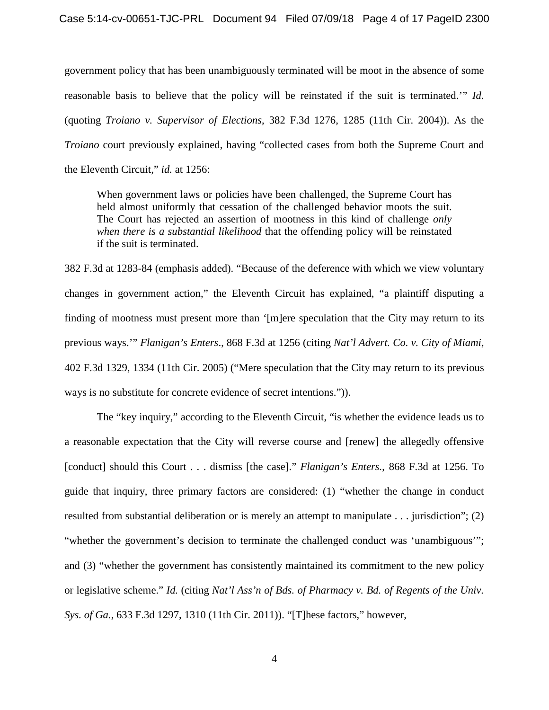government policy that has been unambiguously terminated will be moot in the absence of some reasonable basis to believe that the policy will be reinstated if the suit is terminated.'" *Id.* (quoting *Troiano v. Supervisor of Elections*, 382 F.3d 1276, 1285 (11th Cir. 2004)). As the *Troiano* court previously explained, having "collected cases from both the Supreme Court and the Eleventh Circuit," *id.* at 1256:

When government laws or policies have been challenged, the Supreme Court has held almost uniformly that cessation of the challenged behavior moots the suit. The Court has rejected an assertion of mootness in this kind of challenge *only when there is a substantial likelihood* that the offending policy will be reinstated if the suit is terminated.

382 F.3d at 1283-84 (emphasis added). "Because of the deference with which we view voluntary changes in government action," the Eleventh Circuit has explained, "a plaintiff disputing a finding of mootness must present more than '[m]ere speculation that the City may return to its previous ways.'" *Flanigan's Enters*., 868 F.3d at 1256 (citing *Nat'l Advert. Co. v. City of Miami*, 402 F.3d 1329, 1334 (11th Cir. 2005) ("Mere speculation that the City may return to its previous ways is no substitute for concrete evidence of secret intentions.")).

The "key inquiry," according to the Eleventh Circuit, "is whether the evidence leads us to a reasonable expectation that the City will reverse course and [renew] the allegedly offensive [conduct] should this Court . . . dismiss [the case]." *Flanigan's Enters.*, 868 F.3d at 1256. To guide that inquiry, three primary factors are considered: (1) "whether the change in conduct resulted from substantial deliberation or is merely an attempt to manipulate . . . jurisdiction"; (2) "whether the government's decision to terminate the challenged conduct was 'unambiguous'"; and (3) "whether the government has consistently maintained its commitment to the new policy or legislative scheme." *Id.* (citing *Nat'l Ass'n of Bds. of Pharmacy v. Bd. of Regents of the Univ. Sys. of Ga.*, 633 F.3d 1297, 1310 (11th Cir. 2011)). "[T]hese factors," however,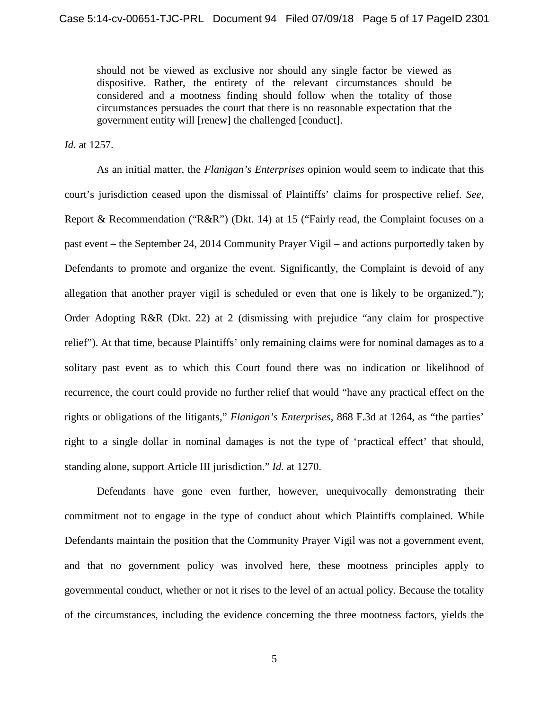should not be viewed as exclusive nor should any single factor be viewed as dispositive. Rather, the entirety of the relevant circumstances should be considered and a mootness finding should follow when the totality of those circumstances persuades the court that there is no reasonable expectation that the government entity will [renew] the challenged [conduct].

*Id.* at 1257.

As an initial matter, the *Flanigan's Enterprises* opinion would seem to indicate that this court's jurisdiction ceased upon the dismissal of Plaintiffs' claims for prospective relief. *See*, Report & Recommendation ("R&R") (Dkt. 14) at 15 ("Fairly read, the Complaint focuses on a past event – the September 24, 2014 Community Prayer Vigil – and actions purportedly taken by Defendants to promote and organize the event. Significantly, the Complaint is devoid of any allegation that another prayer vigil is scheduled or even that one is likely to be organized."); Order Adopting R&R (Dkt. 22) at 2 (dismissing with prejudice "any claim for prospective relief"). At that time, because Plaintiffs' only remaining claims were for nominal damages as to a solitary past event as to which this Court found there was no indication or likelihood of recurrence, the court could provide no further relief that would "have any practical effect on the rights or obligations of the litigants," *Flanigan's Enterprises*, 868 F.3d at 1264, as "the parties' right to a single dollar in nominal damages is not the type of 'practical effect' that should, standing alone, support Article III jurisdiction." *Id.* at 1270.

Defendants have gone even further, however, unequivocally demonstrating their commitment not to engage in the type of conduct about which Plaintiffs complained. While Defendants maintain the position that the Community Prayer Vigil was not a government event, and that no government policy was involved here, these mootness principles apply to governmental conduct, whether or not it rises to the level of an actual policy. Because the totality of the circumstances, including the evidence concerning the three mootness factors, yields the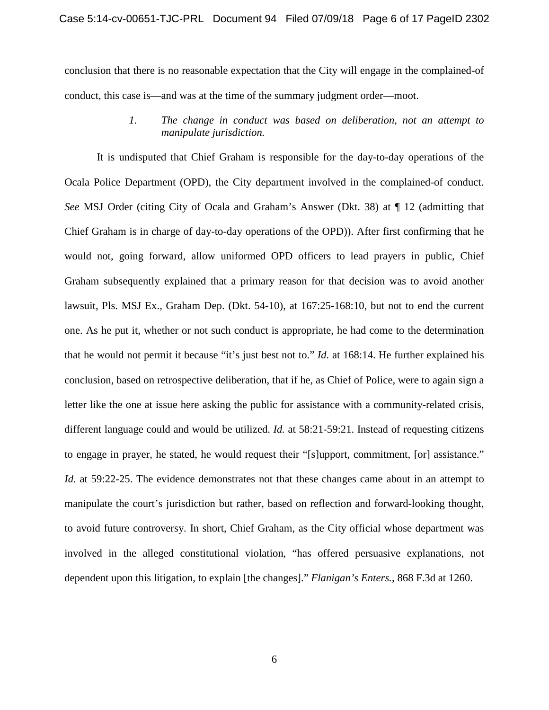conclusion that there is no reasonable expectation that the City will engage in the complained-of conduct, this case is—and was at the time of the summary judgment order—moot.

> *1. The change in conduct was based on deliberation, not an attempt to manipulate jurisdiction.*

It is undisputed that Chief Graham is responsible for the day-to-day operations of the Ocala Police Department (OPD), the City department involved in the complained-of conduct. *See* MSJ Order (citing City of Ocala and Graham's Answer (Dkt. 38) at ¶ 12 (admitting that Chief Graham is in charge of day-to-day operations of the OPD)). After first confirming that he would not, going forward, allow uniformed OPD officers to lead prayers in public, Chief Graham subsequently explained that a primary reason for that decision was to avoid another lawsuit, Pls. MSJ Ex., Graham Dep. (Dkt. 54-10), at 167:25-168:10, but not to end the current one. As he put it, whether or not such conduct is appropriate, he had come to the determination that he would not permit it because "it's just best not to." *Id.* at 168:14. He further explained his conclusion, based on retrospective deliberation, that if he, as Chief of Police, were to again sign a letter like the one at issue here asking the public for assistance with a community-related crisis, different language could and would be utilized. *Id.* at 58:21-59:21. Instead of requesting citizens to engage in prayer, he stated, he would request their "[s]upport, commitment, [or] assistance." *Id.* at 59:22-25. The evidence demonstrates not that these changes came about in an attempt to manipulate the court's jurisdiction but rather, based on reflection and forward-looking thought, to avoid future controversy. In short, Chief Graham, as the City official whose department was involved in the alleged constitutional violation, "has offered persuasive explanations, not dependent upon this litigation, to explain [the changes]." *Flanigan's Enters.*, 868 F.3d at 1260.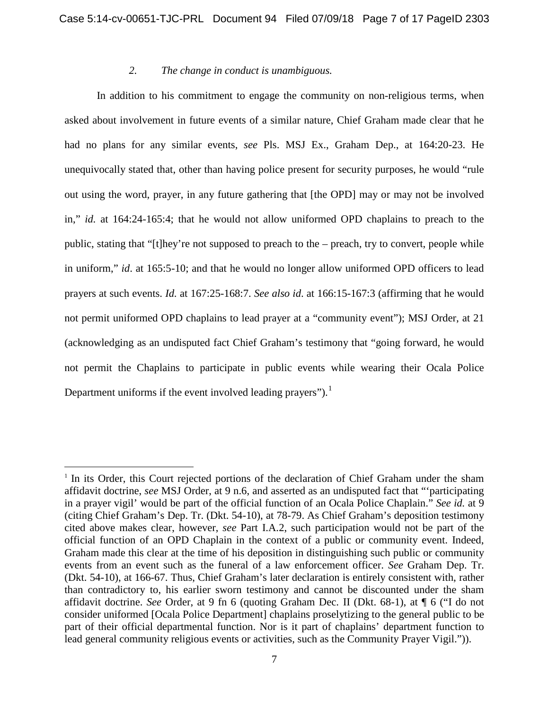#### *2. The change in conduct is unambiguous.*

In addition to his commitment to engage the community on non-religious terms, when asked about involvement in future events of a similar nature, Chief Graham made clear that he had no plans for any similar events, *see* Pls. MSJ Ex., Graham Dep., at 164:20-23. He unequivocally stated that, other than having police present for security purposes, he would "rule out using the word, prayer, in any future gathering that [the OPD] may or may not be involved in," *id.* at 164:24-165:4; that he would not allow uniformed OPD chaplains to preach to the public, stating that "[t]hey're not supposed to preach to the – preach, try to convert, people while in uniform," *id*. at 165:5-10; and that he would no longer allow uniformed OPD officers to lead prayers at such events. *Id.* at 167:25-168:7. *See also id*. at 166:15-167:3 (affirming that he would not permit uniformed OPD chaplains to lead prayer at a "community event"); MSJ Order, at 21 (acknowledging as an undisputed fact Chief Graham's testimony that "going forward, he would not permit the Chaplains to participate in public events while wearing their Ocala Police Department uniforms if the event involved leading prayers").<sup>[1](#page-6-0)</sup>

<span id="page-6-0"></span><sup>&</sup>lt;sup>1</sup> In its Order, this Court rejected portions of the declaration of Chief Graham under the sham affidavit doctrine, *see* MSJ Order, at 9 n.6, and asserted as an undisputed fact that "'participating in a prayer vigil' would be part of the official function of an Ocala Police Chaplain." *See id.* at 9 (citing Chief Graham's Dep. Tr. (Dkt. 54-10), at 78-79. As Chief Graham's deposition testimony cited above makes clear, however, *see* Part I.A.2, such participation would not be part of the official function of an OPD Chaplain in the context of a public or community event. Indeed, Graham made this clear at the time of his deposition in distinguishing such public or community events from an event such as the funeral of a law enforcement officer. *See* Graham Dep. Tr. (Dkt. 54-10), at 166-67. Thus, Chief Graham's later declaration is entirely consistent with, rather than contradictory to, his earlier sworn testimony and cannot be discounted under the sham affidavit doctrine. *See* Order, at 9 fn 6 (quoting Graham Dec. II (Dkt. 68-1), at ¶ 6 ("I do not consider uniformed [Ocala Police Department] chaplains proselytizing to the general public to be part of their official departmental function. Nor is it part of chaplains' department function to lead general community religious events or activities, such as the Community Prayer Vigil.")).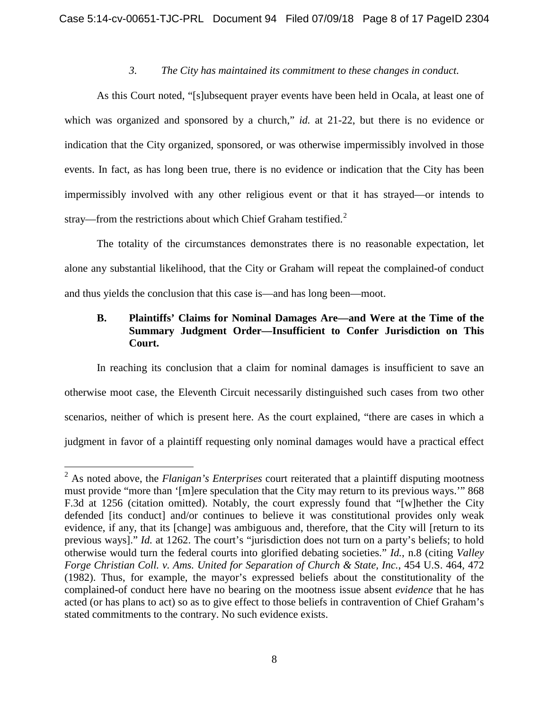#### *3. The City has maintained its commitment to these changes in conduct.*

As this Court noted, "[s]ubsequent prayer events have been held in Ocala, at least one of which was organized and sponsored by a church," *id.* at 21-22, but there is no evidence or indication that the City organized, sponsored, or was otherwise impermissibly involved in those events. In fact, as has long been true, there is no evidence or indication that the City has been impermissibly involved with any other religious event or that it has strayed—or intends to stray—from the restrictions about which Chief Graham testified.<sup>[2](#page-7-0)</sup>

The totality of the circumstances demonstrates there is no reasonable expectation, let alone any substantial likelihood, that the City or Graham will repeat the complained-of conduct and thus yields the conclusion that this case is—and has long been—moot.

# **B. Plaintiffs' Claims for Nominal Damages Are—and Were at the Time of the Summary Judgment Order—Insufficient to Confer Jurisdiction on This Court.**

In reaching its conclusion that a claim for nominal damages is insufficient to save an otherwise moot case, the Eleventh Circuit necessarily distinguished such cases from two other scenarios, neither of which is present here. As the court explained, "there are cases in which a judgment in favor of a plaintiff requesting only nominal damages would have a practical effect

<span id="page-7-0"></span><sup>2</sup> As noted above, the *Flanigan's Enterprises* court reiterated that a plaintiff disputing mootness must provide "more than '[m]ere speculation that the City may return to its previous ways.'" 868 F.3d at 1256 (citation omitted). Notably, the court expressly found that "[w]hether the City defended [its conduct] and/or continues to believe it was constitutional provides only weak evidence, if any, that its [change] was ambiguous and, therefore, that the City will [return to its previous ways]." *Id.* at 1262. The court's "jurisdiction does not turn on a party's beliefs; to hold otherwise would turn the federal courts into glorified debating societies." *Id.*, n.8 (citing *Valley Forge Christian Coll. v. Ams. United for Separation of Church & State, Inc.*, 454 U.S. 464, 472 (1982). Thus, for example, the mayor's expressed beliefs about the constitutionality of the complained-of conduct here have no bearing on the mootness issue absent *evidence* that he has acted (or has plans to act) so as to give effect to those beliefs in contravention of Chief Graham's stated commitments to the contrary. No such evidence exists.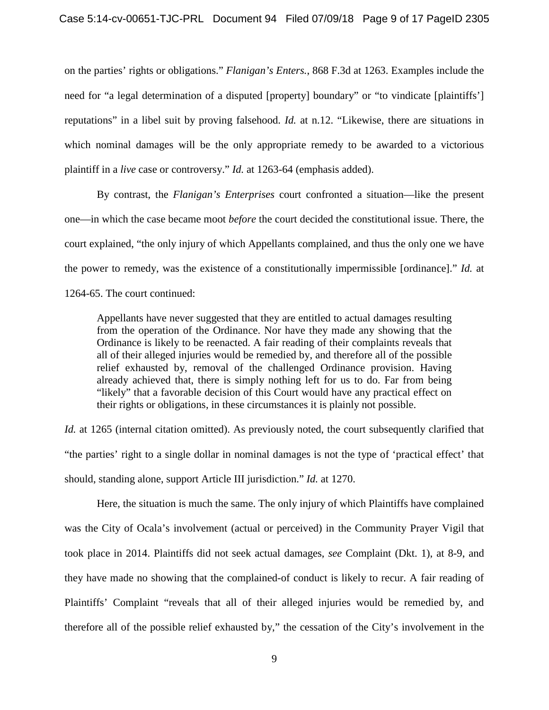on the parties' rights or obligations." *Flanigan's Enters.*, 868 F.3d at 1263. Examples include the need for "a legal determination of a disputed [property] boundary" or "to vindicate [plaintiffs'] reputations" in a libel suit by proving falsehood. *Id.* at n.12. "Likewise, there are situations in which nominal damages will be the only appropriate remedy to be awarded to a victorious plaintiff in a *live* case or controversy." *Id.* at 1263-64 (emphasis added).

By contrast, the *Flanigan's Enterprises* court confronted a situation—like the present one—in which the case became moot *before* the court decided the constitutional issue. There, the court explained, "the only injury of which Appellants complained, and thus the only one we have the power to remedy, was the existence of a constitutionally impermissible [ordinance]." *Id.* at 1264-65. The court continued:

Appellants have never suggested that they are entitled to actual damages resulting from the operation of the Ordinance. Nor have they made any showing that the Ordinance is likely to be reenacted. A fair reading of their complaints reveals that all of their alleged injuries would be remedied by, and therefore all of the possible relief exhausted by, removal of the challenged Ordinance provision. Having already achieved that, there is simply nothing left for us to do. Far from being "likely" that a favorable decision of this Court would have any practical effect on their rights or obligations, in these circumstances it is plainly not possible.

*Id.* at 1265 (internal citation omitted). As previously noted, the court subsequently clarified that "the parties' right to a single dollar in nominal damages is not the type of 'practical effect' that should, standing alone, support Article III jurisdiction." *Id.* at 1270.

Here, the situation is much the same. The only injury of which Plaintiffs have complained was the City of Ocala's involvement (actual or perceived) in the Community Prayer Vigil that took place in 2014. Plaintiffs did not seek actual damages, *see* Complaint (Dkt. 1), at 8-9, and they have made no showing that the complained-of conduct is likely to recur. A fair reading of Plaintiffs' Complaint "reveals that all of their alleged injuries would be remedied by, and therefore all of the possible relief exhausted by," the cessation of the City's involvement in the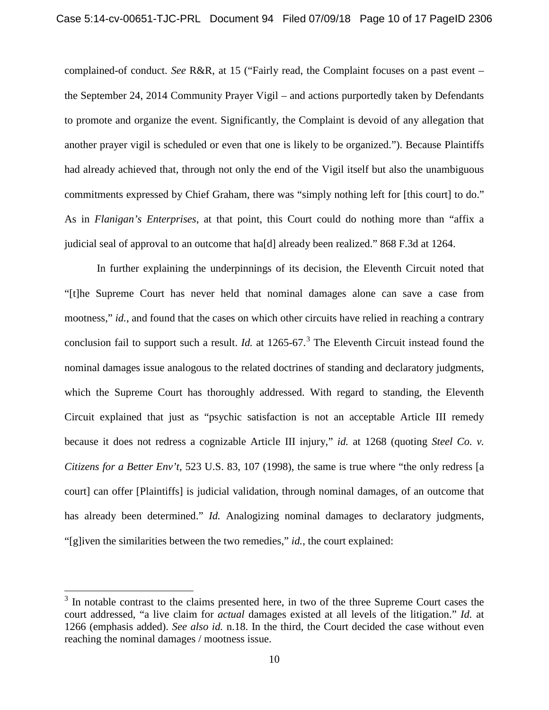complained-of conduct. *See* R&R, at 15 ("Fairly read, the Complaint focuses on a past event – the September 24, 2014 Community Prayer Vigil – and actions purportedly taken by Defendants to promote and organize the event. Significantly, the Complaint is devoid of any allegation that another prayer vigil is scheduled or even that one is likely to be organized."). Because Plaintiffs had already achieved that, through not only the end of the Vigil itself but also the unambiguous commitments expressed by Chief Graham, there was "simply nothing left for [this court] to do." As in *Flanigan's Enterprises*, at that point, this Court could do nothing more than "affix a judicial seal of approval to an outcome that ha[d] already been realized." 868 F.3d at 1264.

In further explaining the underpinnings of its decision, the Eleventh Circuit noted that "[t]he Supreme Court has never held that nominal damages alone can save a case from mootness," *id.*, and found that the cases on which other circuits have relied in reaching a contrary conclusion fail to support such a result. *Id.* at 1265-67.<sup>[3](#page-9-0)</sup> The Eleventh Circuit instead found the nominal damages issue analogous to the related doctrines of standing and declaratory judgments, which the Supreme Court has thoroughly addressed. With regard to standing, the Eleventh Circuit explained that just as "psychic satisfaction is not an acceptable Article III remedy because it does not redress a cognizable Article III injury," *id.* at 1268 (quoting *Steel Co. v. Citizens for a Better Env't*, 523 U.S. 83, 107 (1998), the same is true where "the only redress [a court] can offer [Plaintiffs] is judicial validation, through nominal damages, of an outcome that has already been determined." *Id.* Analogizing nominal damages to declaratory judgments, "[g]iven the similarities between the two remedies," *id.*, the court explained:

<span id="page-9-0"></span> $3$  In notable contrast to the claims presented here, in two of the three Supreme Court cases the court addressed, "a live claim for *actual* damages existed at all levels of the litigation." *Id.* at 1266 (emphasis added). *See also id.* n.18. In the third, the Court decided the case without even reaching the nominal damages / mootness issue.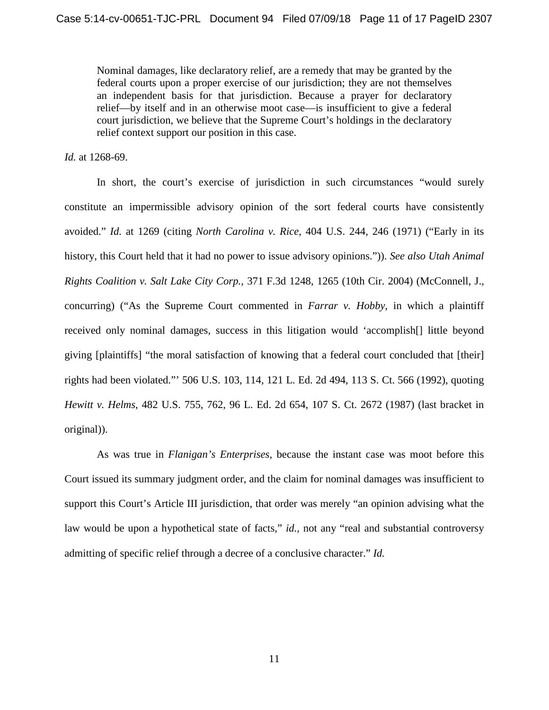Nominal damages, like declaratory relief, are a remedy that may be granted by the federal courts upon a proper exercise of our jurisdiction; they are not themselves an independent basis for that jurisdiction. Because a prayer for declaratory relief—by itself and in an otherwise moot case—is insufficient to give a federal court jurisdiction, we believe that the Supreme Court's holdings in the declaratory relief context support our position in this case.

*Id.* at 1268-69.

In short, the court's exercise of jurisdiction in such circumstances "would surely constitute an impermissible advisory opinion of the sort federal courts have consistently avoided." *Id.* at 1269 (citing *North Carolina v. Rice*, 404 U.S. 244, 246 (1971) ("Early in its history, this Court held that it had no power to issue advisory opinions.")). *See also Utah Animal Rights Coalition v. Salt Lake City Corp.*, 371 F.3d 1248, 1265 (10th Cir. 2004) (McConnell, J., concurring) ("As the Supreme Court commented in *Farrar v. Hobby*, in which a plaintiff received only nominal damages, success in this litigation would 'accomplish[] little beyond giving [plaintiffs] "the moral satisfaction of knowing that a federal court concluded that [their] rights had been violated."' 506 U.S. 103, 114, 121 L. Ed. 2d 494, 113 S. Ct. 566 (1992), quoting *Hewitt v. Helms*, 482 U.S. 755, 762, 96 L. Ed. 2d 654, 107 S. Ct. 2672 (1987) (last bracket in original)).

As was true in *Flanigan's Enterprises*, because the instant case was moot before this Court issued its summary judgment order, and the claim for nominal damages was insufficient to support this Court's Article III jurisdiction, that order was merely "an opinion advising what the law would be upon a hypothetical state of facts," *id.*, not any "real and substantial controversy admitting of specific relief through a decree of a conclusive character." *Id.*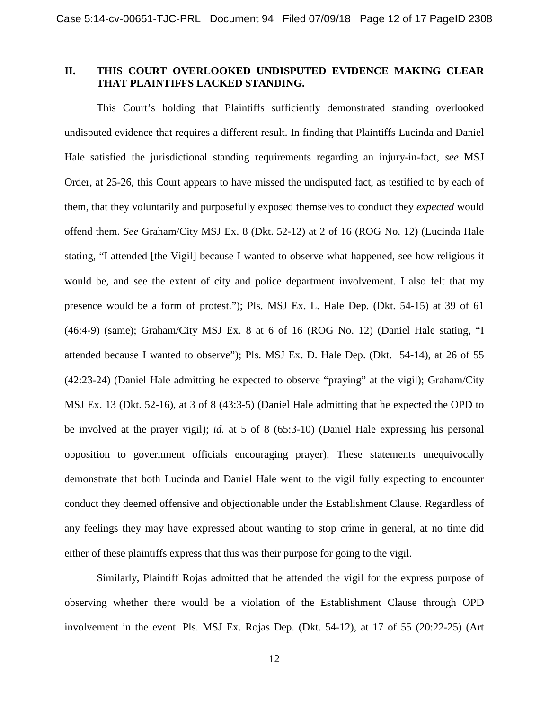## **II. THIS COURT OVERLOOKED UNDISPUTED EVIDENCE MAKING CLEAR THAT PLAINTIFFS LACKED STANDING.**

This Court's holding that Plaintiffs sufficiently demonstrated standing overlooked undisputed evidence that requires a different result. In finding that Plaintiffs Lucinda and Daniel Hale satisfied the jurisdictional standing requirements regarding an injury-in-fact, *see* MSJ Order, at 25-26, this Court appears to have missed the undisputed fact, as testified to by each of them, that they voluntarily and purposefully exposed themselves to conduct they *expected* would offend them. *See* Graham/City MSJ Ex. 8 (Dkt. 52-12) at 2 of 16 (ROG No. 12) (Lucinda Hale stating, "I attended [the Vigil] because I wanted to observe what happened, see how religious it would be, and see the extent of city and police department involvement. I also felt that my presence would be a form of protest."); Pls. MSJ Ex. L. Hale Dep. (Dkt. 54-15) at 39 of 61 (46:4-9) (same); Graham/City MSJ Ex. 8 at 6 of 16 (ROG No. 12) (Daniel Hale stating, "I attended because I wanted to observe"); Pls. MSJ Ex. D. Hale Dep. (Dkt. 54-14), at 26 of 55 (42:23-24) (Daniel Hale admitting he expected to observe "praying" at the vigil); Graham/City MSJ Ex. 13 (Dkt. 52-16), at 3 of 8 (43:3-5) (Daniel Hale admitting that he expected the OPD to be involved at the prayer vigil); *id.* at 5 of 8 (65:3-10) (Daniel Hale expressing his personal opposition to government officials encouraging prayer). These statements unequivocally demonstrate that both Lucinda and Daniel Hale went to the vigil fully expecting to encounter conduct they deemed offensive and objectionable under the Establishment Clause. Regardless of any feelings they may have expressed about wanting to stop crime in general, at no time did either of these plaintiffs express that this was their purpose for going to the vigil.

Similarly, Plaintiff Rojas admitted that he attended the vigil for the express purpose of observing whether there would be a violation of the Establishment Clause through OPD involvement in the event. Pls. MSJ Ex. Rojas Dep. (Dkt. 54-12), at 17 of 55 (20:22-25) (Art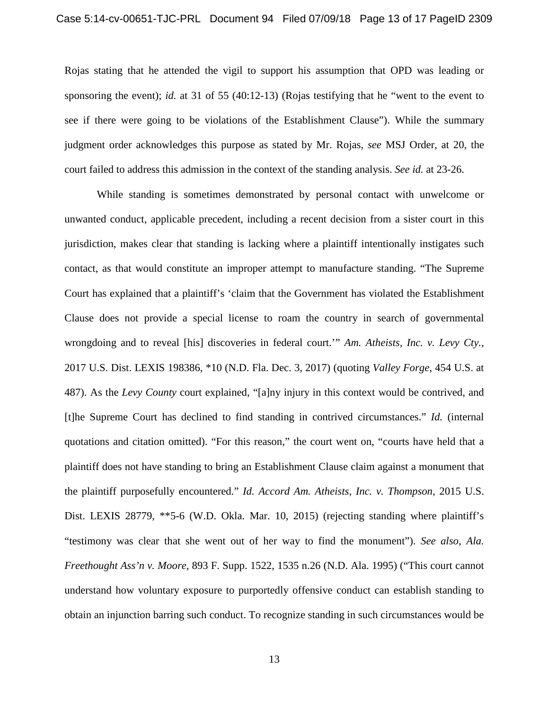Rojas stating that he attended the vigil to support his assumption that OPD was leading or sponsoring the event); *id.* at 31 of 55 (40:12-13) (Rojas testifying that he "went to the event to see if there were going to be violations of the Establishment Clause"). While the summary judgment order acknowledges this purpose as stated by Mr. Rojas, *see* MSJ Order, at 20, the court failed to address this admission in the context of the standing analysis. *See id.* at 23-26.

While standing is sometimes demonstrated by personal contact with unwelcome or unwanted conduct, applicable precedent, including a recent decision from a sister court in this jurisdiction, makes clear that standing is lacking where a plaintiff intentionally instigates such contact, as that would constitute an improper attempt to manufacture standing. "The Supreme Court has explained that a plaintiff's 'claim that the Government has violated the Establishment Clause does not provide a special license to roam the country in search of governmental wrongdoing and to reveal [his] discoveries in federal court.'" *Am. Atheists, Inc. v. Levy Cty.*, 2017 U.S. Dist. LEXIS 198386, \*10 (N.D. Fla. Dec. 3, 2017) (quoting *Valley Forge*, 454 U.S. at 487). As the *Levy County* court explained, "[a]ny injury in this context would be contrived, and [t]he Supreme Court has declined to find standing in contrived circumstances." *Id.* (internal quotations and citation omitted). "For this reason," the court went on, "courts have held that a plaintiff does not have standing to bring an Establishment Clause claim against a monument that the plaintiff purposefully encountered." *Id. Accord Am. Atheists, Inc. v. Thompson*, 2015 U.S. Dist. LEXIS 28779, \*\*5-6 (W.D. Okla. Mar. 10, 2015) (rejecting standing where plaintiff's "testimony was clear that she went out of her way to find the monument"). *See also, Ala. Freethought Ass'n v. Moore*, 893 F. Supp. 1522, 1535 n.26 (N.D. Ala. 1995) ("This court cannot understand how voluntary exposure to purportedly offensive conduct can establish standing to obtain an injunction barring such conduct. To recognize standing in such circumstances would be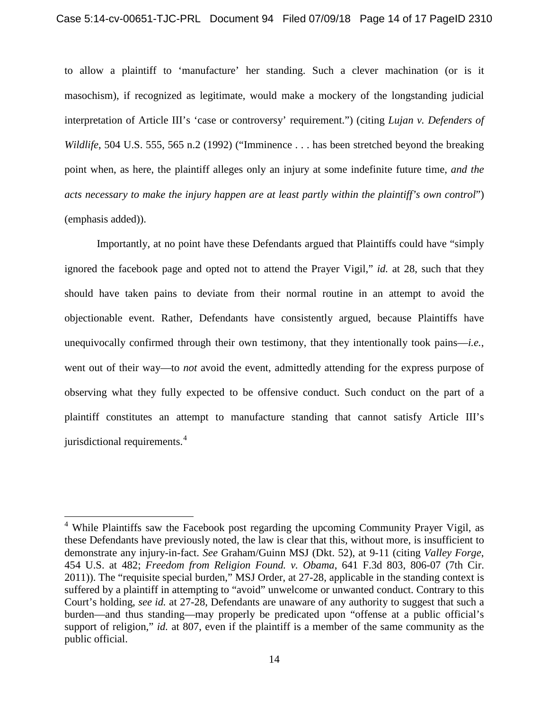to allow a plaintiff to 'manufacture' her standing. Such a clever machination (or is it masochism), if recognized as legitimate, would make a mockery of the longstanding judicial interpretation of Article III's 'case or controversy' requirement.") (citing *Lujan v. Defenders of Wildlife*, 504 U.S. 555, 565 n.2 (1992) ("Imminence . . . has been stretched beyond the breaking point when, as here, the plaintiff alleges only an injury at some indefinite future time, *and the acts necessary to make the injury happen are at least partly within the plaintiff's own control*") (emphasis added)).

Importantly, at no point have these Defendants argued that Plaintiffs could have "simply ignored the facebook page and opted not to attend the Prayer Vigil," *id.* at 28, such that they should have taken pains to deviate from their normal routine in an attempt to avoid the objectionable event. Rather, Defendants have consistently argued, because Plaintiffs have unequivocally confirmed through their own testimony, that they intentionally took pains—*i.e.*, went out of their way—to *not* avoid the event, admittedly attending for the express purpose of observing what they fully expected to be offensive conduct. Such conduct on the part of a plaintiff constitutes an attempt to manufacture standing that cannot satisfy Article III's jurisdictional requirements.<sup>[4](#page-13-0)</sup>

<span id="page-13-0"></span><sup>&</sup>lt;sup>4</sup> While Plaintiffs saw the Facebook post regarding the upcoming Community Prayer Vigil, as these Defendants have previously noted, the law is clear that this, without more, is insufficient to demonstrate any injury-in-fact. *See* Graham/Guinn MSJ (Dkt. 52), at 9-11 (citing *Valley Forge*, 454 U.S. at 482; *Freedom from Religion Found. v. Obama*, 641 F.3d 803, 806-07 (7th Cir. 2011)). The "requisite special burden," MSJ Order, at 27-28, applicable in the standing context is suffered by a plaintiff in attempting to "avoid" unwelcome or unwanted conduct. Contrary to this Court's holding, *see id.* at 27-28, Defendants are unaware of any authority to suggest that such a burden—and thus standing—may properly be predicated upon "offense at a public official's support of religion," *id.* at 807, even if the plaintiff is a member of the same community as the public official.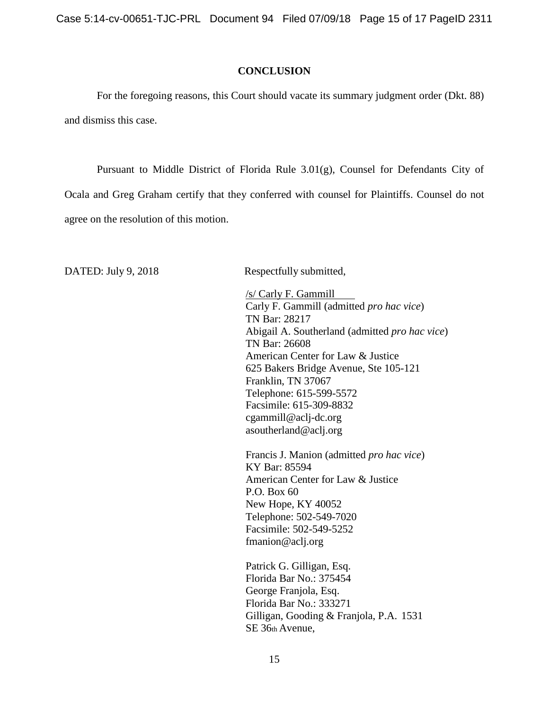Case 5:14-cv-00651-TJC-PRL Document 94 Filed 07/09/18 Page 15 of 17 PageID 2311

#### **CONCLUSION**

For the foregoing reasons, this Court should vacate its summary judgment order (Dkt. 88) and dismiss this case.

Pursuant to Middle District of Florida Rule 3.01(g), Counsel for Defendants City of Ocala and Greg Graham certify that they conferred with counsel for Plaintiffs. Counsel do not agree on the resolution of this motion.

DATED: July 9, 2018 Respectfully submitted,

/s/ Carly F. Gammill Carly F. Gammill (admitted *pro hac vice*) TN Bar: 28217 Abigail A. Southerland (admitted *pro hac vice*) TN Bar: 26608 American Center for Law & Justice 625 Bakers Bridge Avenue, Ste 105-121 Franklin, TN 37067 Telephone: 615-599-5572 Facsimile: 615-309-883[2](mailto:cgammill@aclj-dc.org) [cgammill@aclj-dc.org](mailto:cgammill@aclj-dc.org) [asoutherland@aclj.org](mailto:asoutherland@aclj.org)

Francis J. Manion (admitted *pro hac vice*) KY Bar: 85594 American Center for Law & Justice P.O. Box 60 New Hope, KY 40052 Telephone: 502-549-7020 Facsimile: 502-549-5252 fmanion@aclj.org

Patrick G. Gilligan, Esq. Florida Bar No.: 375454 George Franjola, Esq. Florida Bar No.: 333271 Gilligan, Gooding & Franjola, P.A. 1531 SE 36th Avenue,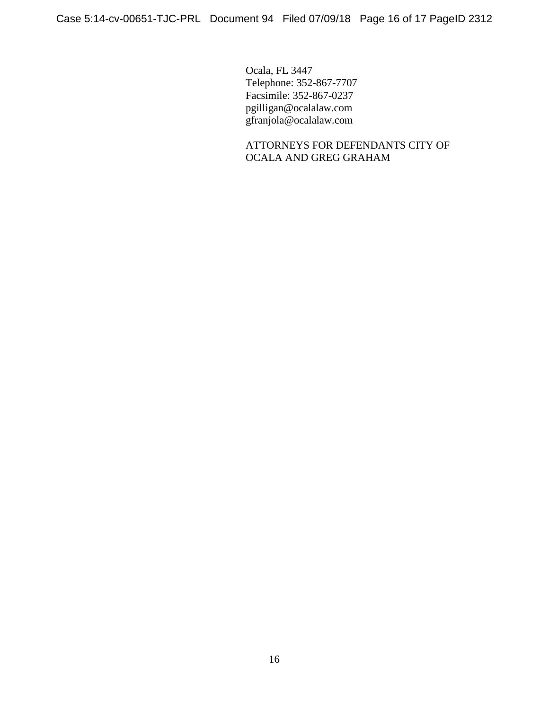Ocala, FL 3447 Telephone: 352-867-7707 Facsimile: 352-867-0237 pgilligan@ocalalaw.com [gfranjola@ocalalaw.com](mailto:gfranjola@ocalalaw.com)

ATTORNEYS FOR DEFENDANTS CITY OF OCALA AND GREG GRAHAM